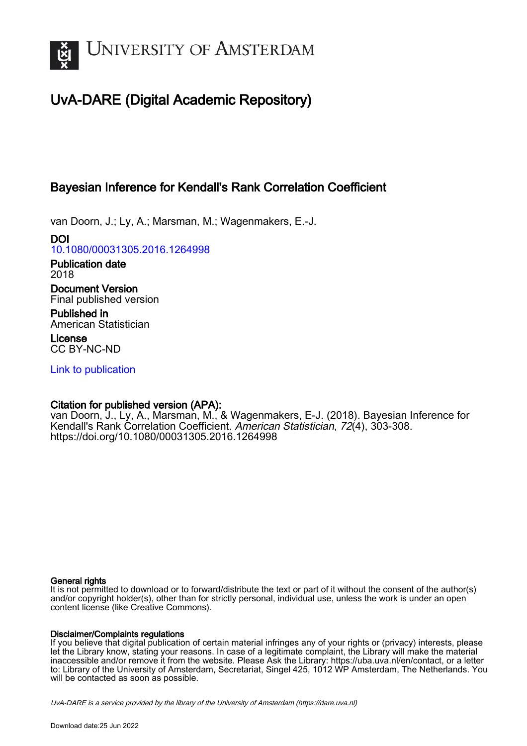

# UvA-DARE (Digital Academic Repository)

# Bayesian Inference for Kendall's Rank Correlation Coefficient

van Doorn, J.; Ly, A.; Marsman, M.; Wagenmakers, E.-J.

DOI [10.1080/00031305.2016.1264998](https://doi.org/10.1080/00031305.2016.1264998)

Publication date 2018

Document Version Final published version

Published in American Statistician

License CC BY-NC-ND

[Link to publication](https://dare.uva.nl/personal/pure/en/publications/bayesian-inference-for-kendalls-rank-correlation-coefficient(f4beb553-8d3f-4876-b30f-233f1fd3e27c).html)

## Citation for published version (APA):

van Doorn, J., Ly, A., Marsman, M., & Wagenmakers, E-J. (2018). Bayesian Inference for Kendall's Rank Correlation Coefficient. American Statistician, 72(4), 303-308. <https://doi.org/10.1080/00031305.2016.1264998>

## General rights

It is not permitted to download or to forward/distribute the text or part of it without the consent of the author(s) and/or copyright holder(s), other than for strictly personal, individual use, unless the work is under an open content license (like Creative Commons).

## Disclaimer/Complaints regulations

If you believe that digital publication of certain material infringes any of your rights or (privacy) interests, please let the Library know, stating your reasons. In case of a legitimate complaint, the Library will make the material inaccessible and/or remove it from the website. Please Ask the Library: https://uba.uva.nl/en/contact, or a letter to: Library of the University of Amsterdam, Secretariat, Singel 425, 1012 WP Amsterdam, The Netherlands. You will be contacted as soon as possible.

UvA-DARE is a service provided by the library of the University of Amsterdam (http*s*://dare.uva.nl)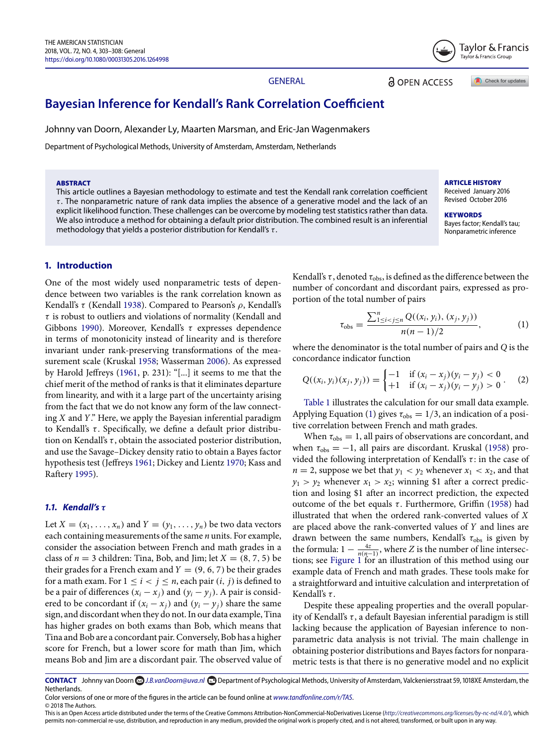

GENERAL

**a** OPEN ACCESS

Check for updates

## **Bayesian Inference for Kendall's Rank Correlation Coefficient**

Johnny van Doorn, Alexander Ly, Maarten Marsman, and Eric-Jan Wagenmakers

Department of Psychological Methods, University of Amsterdam, Amsterdam, Netherlands

#### **ABSTRACT**

This article outlines a Bayesian methodology to estimate and test the Kendall rank correlation coefficient  $\tau$ . The nonparametric nature of rank data implies the absence of a generative model and the lack of an explicit likelihood function. These challenges can be overcome by modeling test statistics rather than data. We also introduce a method for obtaining a default prior distribution. The combined result is an inferential methodology that yields a posterior distribution for Kendall's  $\tau$ .

#### **ARTICLE HISTORY** Received January

Revised October

<span id="page-1-0"></span>**KEYWORDS** Bayes factor; Kendall's tau; Nonparametric inference

## **1. Introduction**

<span id="page-1-13"></span><span id="page-1-12"></span><span id="page-1-11"></span><span id="page-1-10"></span><span id="page-1-9"></span><span id="page-1-6"></span><span id="page-1-5"></span>One of the most widely used nonparametric tests of dependence between two variables is the rank correlation known as Kendall's τ (Kendall [1938\)](#page-6-0). Compared to Pearson's ρ, Kendall's  $\tau$  is robust to outliers and violations of normality (Kendall and Gibbons [1990\)](#page-6-1). Moreover, Kendall's  $\tau$  expresses dependence in terms of monotonicity instead of linearity and is therefore invariant under rank-preserving transformations of the measurement scale (Kruskal [1958;](#page-6-2) Wasserman [2006\)](#page-6-3). As expressed by Harold Jeffreys [\(1961,](#page-6-4) p. 231): "[...] it seems to me that the chief merit of the method of ranks is that it eliminates departure from linearity, and with it a large part of the uncertainty arising from the fact that we do not know any form of the law connecting *X* and *Y*." Here, we apply the Bayesian inferential paradigm to Kendall's  $\tau$ . Specifically, we define a default prior distribution on Kendall's  $\tau$ , obtain the associated posterior distribution, and use the Savage–Dickey density ratio to obtain a Bayes factor hypothesis test (Jeffreys [1961;](#page-6-4) Dickey and Lientz [1970;](#page-5-0) Kass and Raftery [1995\)](#page-6-5).

## <span id="page-1-8"></span><span id="page-1-7"></span>*1.1. Kendall's τ*

Let  $X = (x_1, \ldots, x_n)$  and  $Y = (y_1, \ldots, y_n)$  be two data vectors each containing measurements of the same *n* units. For example, consider the association between French and math grades in a class of  $n = 3$  children: Tina, Bob, and Jim; let  $X = (8, 7, 5)$  be their grades for a French exam and  $Y = (9, 6, 7)$  be their grades for a math exam. For  $1 \le i < j \le n$ , each pair  $(i, j)$  is defined to be a pair of differences  $(x_i - x_j)$  and  $(y_i - y_j)$ . A pair is considered to be concordant if  $(x_i - x_j)$  and  $(y_i - y_j)$  share the same sign, and discordant when they do not. In our data example, Tina has higher grades on both exams than Bob, which means that Tina and Bob are a concordant pair. Conversely, Bob has a higher score for French, but a lower score for math than Jim, which means Bob and Jim are a discordant pair. The observed value of Kendall's  $\tau$ , denoted  $\tau_{\rm obs}$ , is defined as the difference between the number of concordant and discordant pairs, expressed as proportion of the total number of pairs

$$
\tau_{\rm obs} = \frac{\sum_{1 \le i < j \le n}^{n} Q((x_i, y_i), (x_j, y_j))}{n(n-1)/2},\tag{1}
$$

<span id="page-1-16"></span><span id="page-1-15"></span><span id="page-1-14"></span>where the denominator is the total number of pairs and *Q* is the concordance indicator function

$$
Q((x_i, y_i)(x_j, y_j)) = \begin{cases} -1 & \text{if } (x_i - x_j)(y_i - y_j) < 0\\ +1 & \text{if } (x_i - x_j)(y_i - y_j) > 0 \end{cases} (2)
$$

[Table 1](#page-2-0) illustrates the calculation for our small data example. Applying Equation [\(1\)](#page-1-0) gives  $\tau_{obs} = 1/3$ , an indication of a positive correlation between French and math grades.

<span id="page-1-4"></span><span id="page-1-3"></span><span id="page-1-2"></span><span id="page-1-1"></span>When  $\tau_{obs} = 1$ , all pairs of observations are concordant, and when  $\tau_{obs} = -1$ , all pairs are discordant. Kruskal [\(1958\)](#page-6-2) provided the following interpretation of Kendall's  $\tau$ : in the case of  $n = 2$ , suppose we bet that  $y_1 < y_2$  whenever  $x_1 < x_2$ , and that  $y_1 > y_2$  whenever  $x_1 > x_2$ ; winning \$1 after a correct prediction and losing \$1 after an incorrect prediction, the expected outcome of the bet equals τ. Furthermore, Griffin [\(1958\)](#page-5-1) had illustrated that when the ordered rank-converted values of *X* are placed above the rank-converted values of *Y* and lines are drawn between the same numbers, Kendall's  $\tau_{obs}$  is given by the formula:  $1 - \frac{4z}{n(n-1)}$ , where *Z* is the number of line intersections; see [Figure 1](#page-2-1) for an illustration of this method using our example data of French and math grades. These tools make for a straightforward and intuitive calculation and interpretation of Kendall's  $\tau$ .

Despite these appealing properties and the overall popularity of Kendall's  $\tau$ , a default Bayesian inferential paradigm is still lacking because the application of Bayesian inference to nonparametric data analysis is not trivial. The main challenge in obtaining posterior distributions and Bayes factors for nonparametric tests is that there is no generative model and no explicit

CONTACT Johnny van Doorn **C**J.B.vanDoorn@uva.nl **D** Department of Psychological Methods, University of Amsterdam, Valckeniersstraat 59, 1018XE Amsterdam, the Netherlands.

Color versions of one or more of th[e](mailto:J.B.vanDoorn@uva.nl) [figures](mailto:J.B.vanDoorn@uva.nl) [in](mailto:J.B.vanDoorn@uva.nl) [the](mailto:J.B.vanDoorn@uva.nl) [article](mailto:J.B.vanDoorn@uva.nl) can be found online at *www.tandfonline.com/r/TAS*. © 2018 The Authors.

This is an Open Access article distributed under the terms of the Creative Commons Attribu[tion-NonCommercial-NoDerivati](http://www.tandfonline.com/r/tas)ves License (http://creativecommons.org/licenses/by-nc-nd/4.0/), which permits non-commercial re-use, distribution, and reproduction in any medium, provided the original work is properly cited, and is not altered, transformed, or built upon in any way.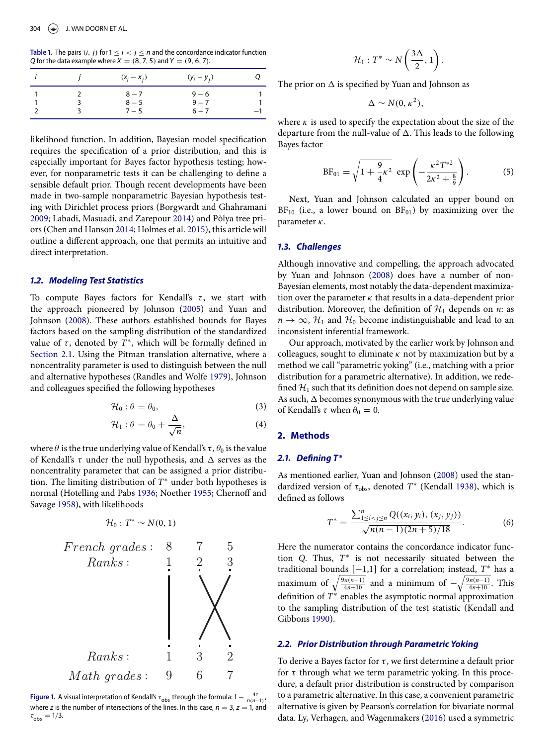<span id="page-2-0"></span>**Table 1.** The pairs  $(i, j)$  for  $1 \leq i < j \leq n$  and the concordance indicator function *Q* for the data example where  $X = (8, 7, 5)$  and  $Y = (9, 6, 7)$ .

|  | $(x_i - x_j)$ | $(y_i - y_j)$ |      |
|--|---------------|---------------|------|
|  | $8 - 7$       | $9 - 6$       |      |
|  | $8 - 5$       | $9 - 7$       |      |
|  | $7 - 5$       | $6 - 7$       | $-1$ |

likelihood function. In addition, Bayesian model specification requires the specification of a prior distribution, and this is especially important for Bayes factor hypothesis testing; however, for nonparametric tests it can be challenging to define a sensible default prior. Though recent developments have been made in two-sample nonparametric Bayesian hypothesis testing with Dirichlet process priors (Borgwardt and Ghahramani [2009;](#page-5-2) Labadi, Masuadi, and Zarepour [2014\)](#page-6-6) and Pòlya tree priors (Chen and Hanson [2014;](#page-5-3) Holmes et al. [2015\)](#page-6-7), this article will outline a different approach, one that permits an intuitive and direct interpretation.

## <span id="page-2-4"></span><span id="page-2-3"></span>*1.2. Modeling Test Statistics*

<span id="page-2-22"></span><span id="page-2-21"></span>To compute Baye[s](#page-2-0) factors for Kendall's  $\tau$ , we start with the approach pioneered by Johnson [\(2005\)](#page-6-8) and Yuan and Johnson [\(2008\)](#page-6-9). These authors established bounds for Bayes factors based on the sampling distribution of the standardized value of  $\tau$ , denoted by  $T^*$ , which will be formally defined in [Section 2.1.](#page-2-2) Using the Pitman translation alternative, where a noncentrality parameter is used to distinguish between the null and alternative hypotheses (Randles and Wolfe [1979\)](#page-6-10), Johnson and colleagues specified the following hypotheses

$$
\mathcal{H}_0: \theta = \theta_0,\tag{3}
$$

<span id="page-2-9"></span><span id="page-2-8"></span>
$$
\mathcal{H}_1: \theta = \theta_0 + \frac{\Delta}{\sqrt{n}},\tag{4}
$$

where  $\theta$  is the true underlying value of Kendall's  $\tau$ ,  $\theta_0$  is the value of Kendall's  $\tau$  under the null hypothesis, and  $\Delta$  serves as the noncentrality parameter that can be assigned a prior distribution. The limiting distribution of *T*<sup>∗</sup> under both hypotheses is normal (Hotelling and Pabs [1936;](#page-6-11) Noether [1955;](#page-6-12) Chernoff and Savage [1958\)](#page-5-4), with likelihoods

<span id="page-2-6"></span><span id="page-2-5"></span><span id="page-2-1"></span>
$$
H_0: T^* \sim N(0, 1)
$$
  
French grades: 8 7 5  
Ranks: 1 2 3  
Ranks: 1 3 2  
Math grades: 9 6 7

**Figure 1.** A visual interpretation of Kendall's  $\tau_{\text{obs}}$  through the formula:  $1 - \frac{4z}{n(n-1)}$ ,  $\tau_{\text{non-1}}$ where *z* is the number of intersections of the lines. In this case,  $n = 3$ ,  $z = 1$ , and  $\tau_{\rm obs} = 1/3.$ 

$$
\mathcal{H}_1: T^* \sim N\left(\frac{3\Delta}{2}, 1\right).
$$

The prior on  $\Delta$  is specified by Yuan and Johnson as

$$
\Delta \sim N(0,\kappa^2),
$$

where  $\kappa$  is used to specify the expectation about the size of the departure from the null-value of  $\Delta$ . This leads to the following Bayes factor

$$
BF_{01} = \sqrt{1 + \frac{9}{4} \kappa^2} \exp\left(-\frac{\kappa^2 T^{*2}}{2\kappa^2 + \frac{8}{9}}\right).
$$
 (5)

<span id="page-2-14"></span>Next, Yuan and Johnson calculated an upper bound on  $BF_{10}$  (i.e., a lower bound on  $BF_{01}$ ) by maximizing over the parameter  $\kappa$ .

#### <span id="page-2-7"></span>*1.3. Challenges*

Although innovative and compelling, the approach advocated by Yuan and Johnson [\(2008\)](#page-6-9) does have a number of non-Bayesian elements, most notably the data-dependent maximization over the parameter  $\kappa$  that results in a data-dependent prior distribution. Moreover, the definition of  $\mathcal{H}_1$  depends on *n*: as  $n \to \infty$ ,  $\mathcal{H}_1$  and  $\mathcal{H}_0$  become indistinguishable and lead to an inconsistent inferential framework.

<span id="page-2-20"></span><span id="page-2-19"></span><span id="page-2-11"></span><span id="page-2-10"></span>Our approach, motivated by the earlier work by Johnson and colleagues, sought to eliminate  $\kappa$  not by maximization but by a method we call "parametric yoking" (i.e., matching with a prior distribution for a parametric alternative). In addition, we redefined  $H_1$  such that its definition does not depend on sample size. As such,  $\Delta$  becomes synonymous with the true underlying value of Kendall's  $\tau$  when  $\theta_0 = 0$ .

## **2. Methods**

#### **2.1.** Defining  $T$ <sup>∗</sup>

<span id="page-2-18"></span><span id="page-2-17"></span><span id="page-2-2"></span>As mentioned earlier, Yuan and Johnson [\(2008\)](#page-6-9) used the standardized version of  $\tau_{\rm obs}$ , denoted  $T^*$  (Kendall [1938\)](#page-6-0), which is defined as follows

<span id="page-2-12"></span>
$$
T^* = \frac{\sum_{1 \le i < j \le n}^n Q((x_i, y_i), (x_j, y_j))}{\sqrt{n(n-1)(2n+5)/18}}.
$$
\n<sup>(6)</sup>

Here the numerator contains the concordance indicator function *Q*. Thus, *T*<sup>∗</sup> is not necessarily situated between the traditional bounds [−1,1] for a correlation; instead, *T*<sup>∗</sup> has a maximum of  $\sqrt{\frac{9n(n-1)}{4n+10}}$  and a minimum of  $-\sqrt{\frac{9n(n-1)}{4n+10}}$ . This definition of *T*<sup>∗</sup> enables the asymptotic normal approximation to the sampling distribution of the test statistic (Kendall and Gibbons [1990\)](#page-6-1).

## <span id="page-2-13"></span>*2.2. Prior Distribution through Parametric Yoking*

<span id="page-2-16"></span><span id="page-2-15"></span>To derive a Bayes factor for  $\tau$ , we first determine a default prior for  $\tau$  through what we term parametric yoking. In this procedure, a default prior distribution is constructed by comparison to a parametric alternative. In this case, a convenient parametric alternative is given by Pearson's correlation for bivariate normal data. Ly, Verhagen, and Wagenmakers [\(2016\)](#page-6-13) used a symmetric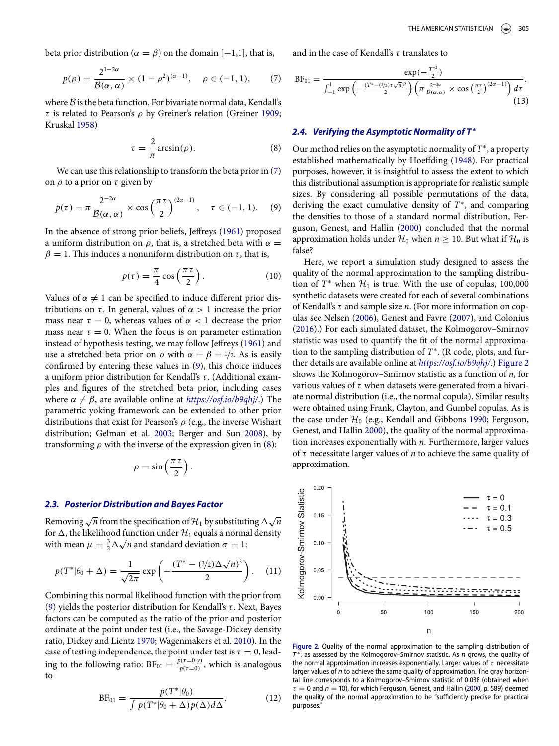beta prior distribution ( $\alpha = \beta$ ) on the domain [-1,1], that is,

$$
p(\rho) = \frac{2^{1-2\alpha}}{\mathcal{B}(\alpha, \alpha)} \times (1 - \rho^2)^{(\alpha - 1)}, \quad \rho \in (-1, 1), \tag{7}
$$

where  $B$  is the beta function. For bivariate normal data, Kendall's τ is related to Pearson's ρ by Greiner's relation (Greiner [1909;](#page-5-5) Kruskal [1958\)](#page-6-2)

<span id="page-3-20"></span>
$$
\tau = -\frac{2}{\pi} \arcsin(\rho). \tag{8}
$$

We can use this relationship to transform the beta prior in [\(7\)](#page-3-0) on  $\rho$  to a prior on  $\tau$  given by

$$
p(\tau) = \pi \frac{2^{-2\alpha}}{\mathcal{B}(\alpha, \alpha)} \times \cos\left(\frac{\pi \tau}{2}\right)^{(2\alpha - 1)}, \quad \tau \in (-1, 1). \quad (9)
$$

In the absence of strong prior beliefs, Jeffreys [\(1961\)](#page-6-4) proposed a uniform distribution on  $\rho$ , that is, a stretched beta with  $\alpha =$  $\beta = 1$ . This induces a nonuniform distribution on  $\tau$ , that is,

$$
p(\tau) = \frac{\pi}{4} \cos\left(\frac{\pi \tau}{2}\right). \tag{10}
$$

Values of  $\alpha \neq 1$  can be specified to induce different prior distributions on  $\tau$ . In general, values of  $\alpha > 1$  increase the prior mass near  $\tau = 0$ , whereas values of  $\alpha < 1$  decrease the prior mass near  $\tau = 0$ . When the focus is on parameter estimation instead of hypothesis testing, we may follow Jeffreys [\(1961\)](#page-6-4) and use a stretched beta prior on  $\rho$  with  $\alpha = \beta = 1/2$ . As is easily confirmed by entering these values in [\(9\)](#page-3-1), this choice induces a uniform prior distribution for Kendall's τ. (Additional examples and figures of the stretched beta prior, including cases where  $\alpha \neq \beta$ , are available online at *<https://osf.io/b9qhj/>*.) The parametric yoking framework can be extended to other prior distributions that exist for Pearson's  $\rho$  (e.g., the inverse Wishart distribution; Gelman et al. [2003;](#page-5-6) Berger and Sun [2008\)](#page-5-7), by transforming  $\rho$  with the inverse of the expression given in [\(8\)](#page-3-2):

<span id="page-3-11"></span><span id="page-3-10"></span>
$$
\rho = \sin\left(\frac{\pi\,\tau}{2}\right).
$$

#### *2.3. Posterior Distribution and Bayes Factor*

Removing  $\sqrt{n}$  from the specification of  $\mathcal{H}_1$  by substituting  $\Delta \sqrt{n}$ for  $\Delta$ , the likelihood function under  $\mathcal{H}_1$  equals a normal density with mean  $\mu = \frac{3}{2}\Delta\sqrt{n}$  and standard deviation  $\sigma = 1$ :

$$
p(T^*|\theta_0 + \Delta) = \frac{1}{\sqrt{2\pi}} \exp\left(-\frac{(T^* - (3/2)\Delta\sqrt{n})^2}{2}\right).
$$
 (11)

Combining this normal likelihood function with the prior from [\(9\)](#page-3-1) yields the posterior distribution for Kendall's  $\tau$ . Next, Bayes factors can be computed as the ratio of the prior and posterior ordinate at the point under test (i.e., the Savage-Dickey density ratio, Dickey and Lientz [1970;](#page-5-0) Wagenmakers et al. [2010\)](#page-6-14). In the case of testing independence, the point under test is  $\tau=0$ , leading to the following ratio:  $BF_{01} = \frac{p(\tau=0|y)}{p(\tau=0)}$ , which is analogous to

<span id="page-3-7"></span>
$$
BF_{01} = \frac{p(T^*|\theta_0)}{\int p(T^*|\theta_0 + \Delta)p(\Delta)d\Delta},
$$
 (12)

and in the case of Kendall's  $\tau$  translates to

<span id="page-3-0"></span>
$$
BF_{01} = \frac{\exp(-\frac{T^{*2}}{2})}{\int_{-1}^{1} \exp\left(-\frac{(T^{*}-(3/2)\tau\sqrt{n})^{2}}{2}\right) \left(\pi \frac{2^{-2\alpha}}{B(\alpha,\alpha)} \times \cos\left(\frac{\pi\tau}{2}\right)^{(2\alpha-1)}\right) d\tau}.
$$
\n(13)

## <span id="page-3-15"></span><span id="page-3-14"></span>*2.4. Verifying the Asymptotic Normality of T* **∗**

<span id="page-3-17"></span><span id="page-3-16"></span><span id="page-3-2"></span><span id="page-3-1"></span>Our method relies on the asymptotic normality of *T*∗, a property established mathematically by Hoeffding [\(1948\)](#page-5-8). For practical purposes, however, it is insightful to assess the extent to which this distributional assumption is appropriate for realistic sample sizes. By considering all possible permutations of the data, deriving the exact cumulative density of *T*∗, and comparing the densities to those of a standard normal distribution, Ferguson, Genest, and Hallin [\(2000\)](#page-5-9) concluded that the normal approximation holds under  $H_0$  when  $n \geq 10$ . But what if  $H_0$  is false?

<span id="page-3-22"></span><span id="page-3-21"></span><span id="page-3-18"></span><span id="page-3-13"></span><span id="page-3-12"></span><span id="page-3-9"></span><span id="page-3-8"></span><span id="page-3-6"></span>Here, we report a simulation study designed to assess the quality of the normal approximation to the sampling distribution of  $T^*$  when  $H_1$  is true. With the use of copulas, 100,000 synthetic datasets were created for each of several combinations of Kendall's τ and sample size *n*. (For more information on copulas see Nelsen [\(2006\)](#page-6-15), Genest and Favre [\(2007\)](#page-5-10), and Colonius [\(2016\)](#page-5-11).) For each simulated dataset, the Kolmogorov–Smirnov statistic was used to quantify the fit of the normal approximation to the sampling distribution of *T*∗. (R code, plots, and further details are available online at *<https://osf.io/b9qhj/>*.) [Figure 2](#page-3-3) shows the Kolmogorov–Smirnov statistic as a function of *n*, for various values of  $\tau$  when datasets were generated from a bivariate normal distribution (i.e., the normal copula). Similar results were obtained using Frank, Clayton, and Gumbel copulas. As is the case under  $H_0$  (e.g., Kendall and Gibbons [1990;](#page-6-1) Ferguson, Genest, and Hallin [2000\)](#page-5-9), the quality of the normal approximation increases exponentially with *n*. Furthermore, larger values of τ necessitate larger values of *n* to achieve the same quality of approximation.

<span id="page-3-19"></span><span id="page-3-5"></span><span id="page-3-4"></span><span id="page-3-3"></span>

<span id="page-3-24"></span><span id="page-3-23"></span>Figure 2. Quality of the normal approximation to the sampling distribution of *T* <sup>∗</sup>, as assessed by the Kolmogorov–Smirnov statistic. As *n* grows, the quality of the normal approximation increases exponentially. Larger values of  $\tau$  necessitate larger values of *n* to achieve the same quality of approximation. The gray horizontal line corresponds to a Kolmogorov–Smirnov statistic of 0.038 (obtained when  $\tau = 0$  and  $n = 10$ ), for which Ferguson, Genest, and Hallin (2000, p. 589) deemed the quality of the normal approximation to be "sufficiently precise for practical purposes."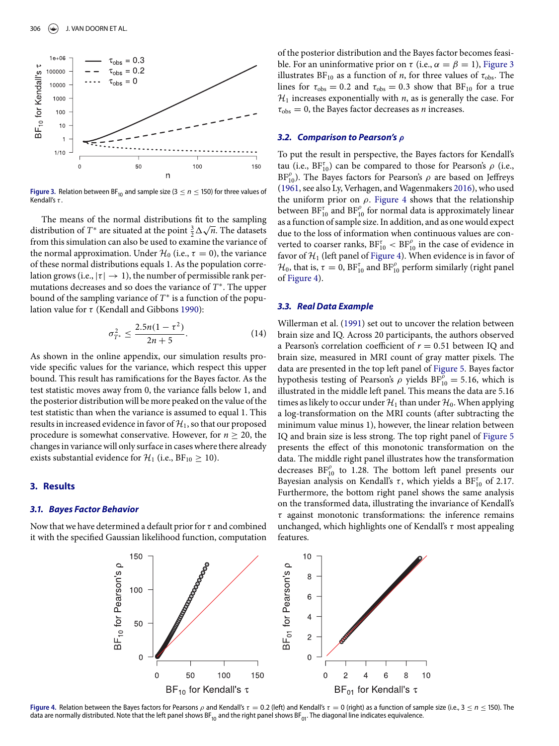<span id="page-4-0"></span>

**Figure 3.** Relation between BF<sub>10</sub> and sample size (3  $\leq$  n  $\leq$  150) for three values of Kendall's  $\tau$ .

The means of the normal distributions fit to the sampling distribution of *T*<sup>∗</sup> are situated at the point  $\frac{3}{2}\Delta\sqrt{n}$ . The datasets from this simulation can also be used to examine the variance of the normal approximation. Under  $\mathcal{H}_0$  (i.e.,  $\tau = 0$ ), the variance of these normal distributions equals 1. As the population correlation grows (i.e.,  $|\tau| \rightarrow 1$ ), the number of permissible rank permutations decreases and so does the variance of *T*∗. The upper bound of the sampling variance of *T*<sup>∗</sup> is a function of the population value for  $\tau$  (Kendall and Gibbons [1990\)](#page-6-1):

$$
\sigma_{T^*}^2 \le \frac{2.5n(1-\tau^2)}{2n+5}.\tag{14}
$$

As shown in the online appendix, our simulation results provide specific values for the variance, which respect this upper bound. This result has ramifications for the Bayes factor. As the test statistic moves away from 0, the variance falls below 1, and the posterior distribution will be more peaked on the value of the test statistic than when the variance is assumed to equal 1. This results in increased evidence in favor of  $\mathcal{H}_1$ , so that our proposed procedure is somewhat conservative. However, for  $n \geq 20$ , the changes in variance will only surface in cases where there already exists substantial evidence for  $\mathcal{H}_1$  (i.e.,  $BF_{10} \geq 10$ ).

## **3. Results**

#### *3.1. Bayes Factor Behavior*

<span id="page-4-1"></span>Now that we have determined a default prior for  $\tau$  and combined it with the specified Gaussian likelihood function, computation of the posterior distribution and the Bayes factor becomes feasible. For an uninformative prior on  $\tau$  (i.e.,  $\alpha = \beta = 1$ ), [Figure 3](#page-4-0) illustrates  $BF_{10}$  as a function of *n*, for three values of  $\tau_{obs}$ . The lines for  $\tau_{obs} = 0.2$  and  $\tau_{obs} = 0.3$  show that BF<sub>10</sub> for a true  $H_1$  increases exponentially with  $n$ , as is generally the case. For  $\tau_{\rm obs} = 0$ , the Bayes factor decreases as *n* increases.

#### *3.2. Comparison to Pearson's ρ*

<span id="page-4-3"></span><span id="page-4-2"></span>To put the result in perspective, the Bayes factors for Kendall's tau (i.e.,  $BF_{10}^{\tau}$ ) can be compared to those for Pearson's  $\rho$  (i.e.,  $BF_{10}^{\rho}$ ). The Bayes factors for Pearson's  $\rho$  are based on Jeffreys [\(1961,](#page-6-4) see also Ly, Verhagen, and Wagenmakers [2016\)](#page-6-13), who used the uniform prior on  $\rho$ . [Figure 4](#page-4-1) shows that the relationship between  $BF_{10}^{t}$  and  $BF_{10}^{\rho}$  for normal data is approximately linear as a function of sample size. In addition, and as one would expect due to the loss of information when continuous values are converted to coarser ranks,  $BF_{10}^{\tau} < BF_{10}^{\rho}$  in the case of evidence in favor of *H*<sup>1</sup> (left panel of [Figure 4\)](#page-4-1). When evidence is in favor of  $\mathcal{H}_0$ , that is,  $\tau = 0$ ,  $BF_{10}^{\tau}$  and  $BF_{10}^{\rho}$  perform similarly (right panel of [Figure 4\)](#page-4-1).

## *3.3. Real Data Example*

<span id="page-4-4"></span>Willerman et al. [\(1991\)](#page-6-16) set out to uncover the relation between brain size and IQ. Across 20 participants, the authors observed a Pearson's correlation coefficient of *r* = 0.51 between IQ and brain size, measured in MRI count of gray matter pixels. The data are presented in the top left panel of [Figure 5.](#page-5-12) Bayes factor hypothesis testing of Pearson's  $\rho$  yields  $BF_{10}^{\rho} = 5.16$ , which is illustrated in the middle left panel. This means the data are 5.16 times as likely to occur under  $\mathcal{H}_1$  than under  $\mathcal{H}_0$ . When applying a log-transformation on the MRI counts (after subtracting the minimum value minus 1), however, the linear relation between IQ and brain size is less strong. The top right panel of [Figure 5](#page-5-12) presents the effect of this monotonic transformation on the data. The middle right panel illustrates how the transformation decreases  $BF_{10}^{\rho}$  to 1.28. The bottom left panel presents our Bayesian analysis on Kendall's  $\tau$ , which yields a BF $_{10}^{\tau}$  of 2.17. Furthermore, the bottom right panel shows the same analysis on the transformed data, illustrating the invariance of Kendall's  $\tau$  against monotonic transformations: the inference remains unchanged, which highlights one of Kendall's  $\tau$  most appealing features.



**Figure .** Relation between the Bayes factors for Pearsons <sup>ρ</sup> and Kendall's <sup>τ</sup> <sup>=</sup> <sup>0</sup>.<sup>2</sup> (left) and Kendall's <sup>τ</sup> <sup>=</sup> <sup>0</sup> (right) as a function of sample size (i.e., <sup>3</sup> <sup>≤</sup> *<sup>n</sup>* <sup>≤</sup> <sup>150</sup>). The data are normally distributed. Note that the left panel shows BF<sub>10</sub> and the right panel shows BF<sub>01</sub>. The diagonal line indicates equivalence.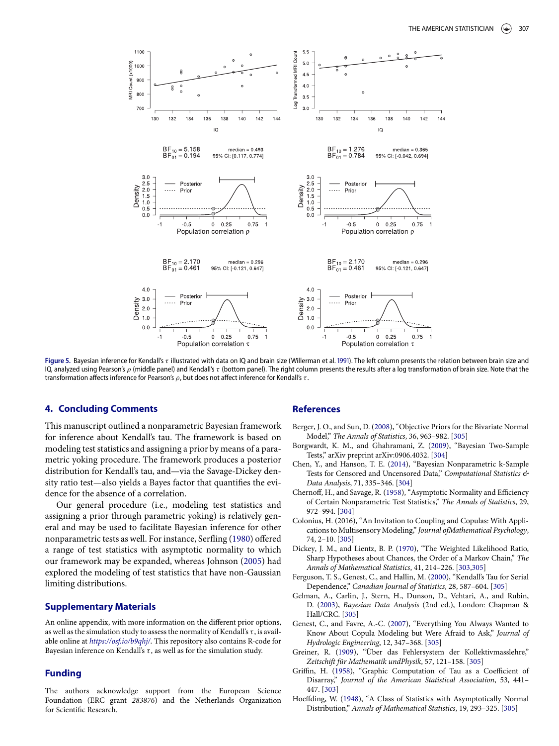<span id="page-5-12"></span>

Figure 5. Bayesian inference for Kendall's τ illustrated with data on IQ and brain size (Willerman et al. 1991[\)](#page-6-16). The left column presents the relation between brain size and IQ, analyzed using Pearson's ρ (middle panel) and Kendall's τ (bottom panel). The right column presents the results after a log transformation of brain size. Note that the transformation affects inference for Pearson's  $ρ$ , but does not affect inference for Kendall's τ.

## **4. Concluding Comments**

This manuscript outlined a nonparametric Bayesian framework for inference about Kendall's tau. The framework is based on modeling test statistics and assigning a prior by means of a parametric yoking procedure. The framework produces a posterior distribution for Kendall's tau, and—via the Savage-Dickey density ratio test—also yields a Bayes factor that quantifies the evidence for the absence of a correlation.

Our general procedure (i.e., modeling test statistics and assigning a prior through parametric yoking) is relatively general and may be used to facilitate Bayesian inference for other nonparametric tests as well. For instance, Serfling [\(1980\)](#page-6-17) offered a range of test statistics with asymptotic normality to which our framework may be expanded, whereas Johnson [\(2005\)](#page-6-8) had explored the modeling of test statistics that have non-Gaussian limiting distributions.

#### **Supplementary Materials**

An online appendix, with more information on the different prior options, as well as the simulation study to assess the normality of Kendall's  $\tau$ , is available online at *<https://osf.io/b9qhj/>*. This repository also contains R-code for Bayesian inference on Kendall's  $\tau$ , as well as for the simulation study.

## **Funding**

The authors acknowledge support from the European Science Foundation (ERC grant *283876*) and the Netherlands Organization for Scientific Research.

#### **References**

- <span id="page-5-7"></span>Berger, J. O., and Sun, D. [\(2008\)](#page-3-4), "Objective Priors for the Bivariate Normal Model," *The Annals of Statistics*, 36, 963–982. [\[305\]](#page-3-5)
- <span id="page-5-2"></span>Borgwardt, K. M., and Ghahramani, Z. [\(2009\)](#page-2-3), "Bayesian Two-Sample Tests," arXiv preprint arXiv:0906.4032. [304]
- <span id="page-5-3"></span>Chen, Y., and Hanson, T. E. [\(2014\)](#page-2-4), "Bayesian Nonparametric k-Sample Tests for Censored and Uncensored Data," *Computational Statistics & Data Analysis*, 71, 335–346. [304]
- <span id="page-5-4"></span>Chernoff, H., and Savage, R. [\(1958\)](#page-2-5), "Asymptotic Normality and Efficiency of Certain Nonparametric Test Statistics," *The Annals of Statistics*, 29, 972–994. [\[304\]](#page-2-6)
- <span id="page-5-11"></span>Colonius, H. (2016), "An Invitation to Coupling and Copulas: With Applications to Multisensory Modeling," *Journal ofMathematical Psychology*, 74, 2–10. [\[305\]](#page-3-6)
- <span id="page-5-15"></span><span id="page-5-14"></span><span id="page-5-0"></span>Dickey, J. M., and Lientz, B. P. [\(1970\)](#page-1-1), "The Weighted Likelihood Ratio, Sharp Hypotheses about Chances, the Order of a Markov Chain," *The Annals of Mathematical Statistics*, 41, 214–226. [\[303,](#page-1-2)[305\]](#page-3-7)
- <span id="page-5-13"></span><span id="page-5-9"></span>Ferguson, T. S., Genest, C., and Hallin, M. [\(2000\)](#page-3-8), "Kendall's Tau for Serial Dependence," *Canadian Journal of Statistics*, 28, 587–604. [\[305\]](#page-3-9)
- <span id="page-5-6"></span>Gelman, A., Carlin, J., Stern, H., Dunson, D., Vehtari, A., and Rubin, D. [\(2003\)](#page-3-10), *Bayesian Data Analysis* (2nd ed.), London: Chapman & Hall/CRC. [\[305\]](#page-3-11)
- <span id="page-5-10"></span>Genest, C., and Favre, A.-C. [\(2007\)](#page-3-12), "Everything You Always Wanted to Know About Copula Modeling but Were Afraid to Ask," *Journal of Hydrologic Engineering*, 12, 347–368. [\[305\]](#page-3-13)
- <span id="page-5-5"></span>Greiner, R. [\(1909\)](#page-3-14), "Über das Fehlersystem der Kollektivmasslehre," *Zeitschift für Mathematik undPhysik*, 57, 121–158. [\[305\]](#page-3-15)
- <span id="page-5-1"></span>Griffin, H. [\(1958\)](#page-1-3), "Graphic Computation of Tau as a Coefficient of Disarray," *Journal of the American Statistical Association*, 53, 441– 447. [\[303\]](#page-1-4)
- <span id="page-5-8"></span>Hoeffding, W. [\(1948\)](#page-3-16), "A Class of Statistics with Asymptotically Normal Distribution," *Annals of Mathematical Statistics*, 19, 293–325. [\[305\]](#page-3-17)